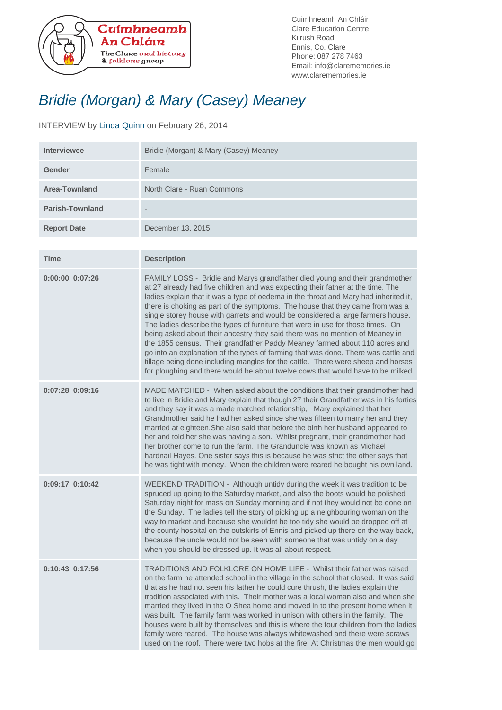

Cuimhneamh An Chláir Clare Education Centre Kilrush Road Ennis, Co. Clare Phone: 087 278 7463 Email: info@clarememories.ie www.clarememories.ie

## Bridie (Morgan) & Mary (Casey) Meaney

## INTERVIEW by Linda Quinn on February 26, 2014

| <b>Interviewee</b>     | Bridie (Morgan) & Mary (Casey) Meaney |
|------------------------|---------------------------------------|
| Gender                 | Female                                |
| Area-Townland          | North Clare - Ruan Commons            |
| <b>Parish-Townland</b> | $\overline{\phantom{a}}$              |
| <b>Report Date</b>     | December 13, 2015                     |

| <b>Time</b>         | <b>Description</b>                                                                                                                                                                                                                                                                                                                                                                                                                                                                                                                                                                                                                                                                                                                                                                                                                                                                                                                        |
|---------------------|-------------------------------------------------------------------------------------------------------------------------------------------------------------------------------------------------------------------------------------------------------------------------------------------------------------------------------------------------------------------------------------------------------------------------------------------------------------------------------------------------------------------------------------------------------------------------------------------------------------------------------------------------------------------------------------------------------------------------------------------------------------------------------------------------------------------------------------------------------------------------------------------------------------------------------------------|
| $0:00:00$ $0:07:26$ | FAMILY LOSS - Bridie and Marys grandfather died young and their grandmother<br>at 27 already had five children and was expecting their father at the time. The<br>ladies explain that it was a type of oedema in the throat and Mary had inherited it,<br>there is choking as part of the symptoms. The house that they came from was a<br>single storey house with garrets and would be considered a large farmers house.<br>The ladies describe the types of furniture that were in use for those times. On<br>being asked about their ancestry they said there was no mention of Meaney in<br>the 1855 census. Their grandfather Paddy Meaney farmed about 110 acres and<br>go into an explanation of the types of farming that was done. There was cattle and<br>tillage being done including mangles for the cattle. There were sheep and horses<br>for ploughing and there would be about twelve cows that would have to be milked. |
| $0:07:28$ $0:09:16$ | MADE MATCHED - When asked about the conditions that their grandmother had<br>to live in Bridie and Mary explain that though 27 their Grandfather was in his forties<br>and they say it was a made matched relationship, Mary explained that her<br>Grandmother said he had her asked since she was fifteen to marry her and they<br>married at eighteen. She also said that before the birth her husband appeared to<br>her and told her she was having a son. Whilst pregnant, their grandmother had<br>her brother come to run the farm. The Granduncle was known as Michael<br>hardnail Hayes. One sister says this is because he was strict the other says that<br>he was tight with money. When the children were reared he bought his own land.                                                                                                                                                                                     |
| 0:09:17 0:10:42     | WEEKEND TRADITION - Although untidy during the week it was tradition to be<br>spruced up going to the Saturday market, and also the boots would be polished<br>Saturday night for mass on Sunday morning and if not they would not be done on<br>the Sunday. The ladies tell the story of picking up a neighbouring woman on the<br>way to market and because she wouldnt be too tidy she would be dropped off at<br>the county hospital on the outskirts of Ennis and picked up there on the way back,<br>because the uncle would not be seen with someone that was untidy on a day<br>when you should be dressed up. It was all about respect.                                                                                                                                                                                                                                                                                          |
| 0:10:43 0:17:56     | TRADITIONS AND FOLKLORE ON HOME LIFE - Whilst their father was raised<br>on the farm he attended school in the village in the school that closed. It was said<br>that as he had not seen his father he could cure thrush, the ladies explain the<br>tradition associated with this. Their mother was a local woman also and when she<br>married they lived in the O Shea home and moved in to the present home when it<br>was built. The family farm was worked in unison with others in the family. The<br>houses were built by themselves and this is where the four children from the ladies<br>family were reared. The house was always whitewashed and there were scraws<br>used on the roof. There were two hobs at the fire. At Christmas the men would go                                                                                                                                                                         |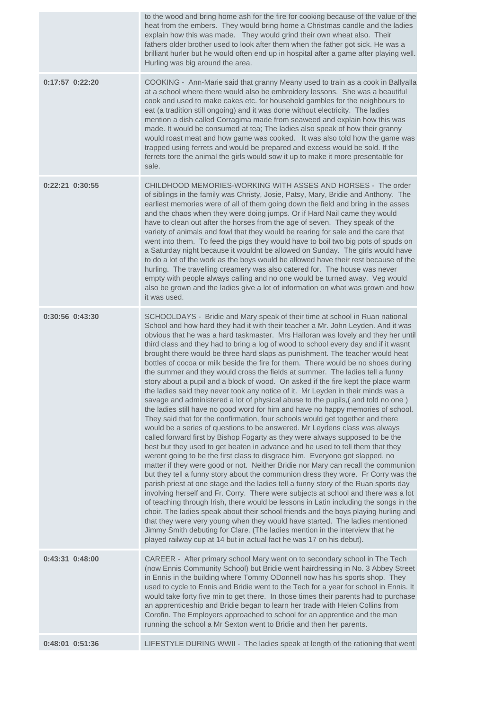|                 | to the wood and bring home ash for the fire for cooking because of the value of the<br>heat from the embers. They would bring home a Christmas candle and the ladies<br>explain how this was made. They would grind their own wheat also. Their<br>fathers older brother used to look after them when the father got sick. He was a<br>brilliant hurler but he would often end up in hospital after a game after playing well.<br>Hurling was big around the area.                                                                                                                                                                                                                                                                                                                                                                                                                                                                                                                                                                                                                                                                                                                                                                                                                                                                                                                                                                                                                                                                                                                                                                                                                                                                                                                                                                                                                                                                                                                                                                                                                                                                                    |
|-----------------|-------------------------------------------------------------------------------------------------------------------------------------------------------------------------------------------------------------------------------------------------------------------------------------------------------------------------------------------------------------------------------------------------------------------------------------------------------------------------------------------------------------------------------------------------------------------------------------------------------------------------------------------------------------------------------------------------------------------------------------------------------------------------------------------------------------------------------------------------------------------------------------------------------------------------------------------------------------------------------------------------------------------------------------------------------------------------------------------------------------------------------------------------------------------------------------------------------------------------------------------------------------------------------------------------------------------------------------------------------------------------------------------------------------------------------------------------------------------------------------------------------------------------------------------------------------------------------------------------------------------------------------------------------------------------------------------------------------------------------------------------------------------------------------------------------------------------------------------------------------------------------------------------------------------------------------------------------------------------------------------------------------------------------------------------------------------------------------------------------------------------------------------------------|
| 0:17:57 0:22:20 | COOKING - Ann-Marie said that granny Meany used to train as a cook in Ballyalla<br>at a school where there would also be embroidery lessons. She was a beautiful<br>cook and used to make cakes etc. for household gambles for the neighbours to<br>eat (a tradition still ongoing) and it was done without electricity. The ladies<br>mention a dish called Corragima made from seaweed and explain how this was<br>made. It would be consumed at tea; The ladies also speak of how their granny<br>would roast meat and how game was cooked. It was also told how the game was<br>trapped using ferrets and would be prepared and excess would be sold. If the<br>ferrets tore the animal the girls would sow it up to make it more presentable for<br>sale.                                                                                                                                                                                                                                                                                                                                                                                                                                                                                                                                                                                                                                                                                                                                                                                                                                                                                                                                                                                                                                                                                                                                                                                                                                                                                                                                                                                        |
| 0:22:21 0:30:55 | CHILDHOOD MEMORIES-WORKING WITH ASSES AND HORSES - The order<br>of siblings in the family was Christy, Josie, Patsy, Mary, Bridie and Anthony. The<br>earliest memories were of all of them going down the field and bring in the asses<br>and the chaos when they were doing jumps. Or if Hard Nail came they would<br>have to clean out after the horses from the age of seven. They speak of the<br>variety of animals and fowl that they would be rearing for sale and the care that<br>went into them. To feed the pigs they would have to boil two big pots of spuds on<br>a Saturday night because it wouldnt be allowed on Sunday. The girls would have<br>to do a lot of the work as the boys would be allowed have their rest because of the<br>hurling. The travelling creamery was also catered for. The house was never<br>empty with people always calling and no one would be turned away. Veg would<br>also be grown and the ladies give a lot of information on what was grown and how<br>it was used.                                                                                                                                                                                                                                                                                                                                                                                                                                                                                                                                                                                                                                                                                                                                                                                                                                                                                                                                                                                                                                                                                                                               |
| 0:30:56 0:43:30 | SCHOOLDAYS - Bridie and Mary speak of their time at school in Ruan national<br>School and how hard they had it with their teacher a Mr. John Leyden. And it was<br>obvious that he was a hard taskmaster. Mrs Halloran was lovely and they her until<br>third class and they had to bring a log of wood to school every day and if it wasnt<br>brought there would be three hard slaps as punishment. The teacher would heat<br>bottles of cocoa or milk beside the fire for them. There would be no shoes during<br>the summer and they would cross the fields at summer. The ladies tell a funny<br>story about a pupil and a block of wood. On asked if the fire kept the place warm<br>the ladies said they never took any notice of it. Mr Leyden in their minds was a<br>savage and administered a lot of physical abuse to the pupils, (and told no one)<br>the ladies still have no good word for him and have no happy memories of school.<br>They said that for the confirmation, four schools would get together and there<br>would be a series of questions to be answered. Mr Leydens class was always<br>called forward first by Bishop Fogarty as they were always supposed to be the<br>best but they used to get beaten in advance and he used to tell them that they<br>werent going to be the first class to disgrace him. Everyone got slapped, no<br>matter if they were good or not. Neither Bridie nor Mary can recall the communion<br>but they tell a funny story about the communion dress they wore. Fr Corry was the<br>parish priest at one stage and the ladies tell a funny story of the Ruan sports day<br>involving herself and Fr. Corry. There were subjects at school and there was a lot<br>of teaching through Irish, there would be lessons in Latin including the songs in the<br>choir. The ladies speak about their school friends and the boys playing hurling and<br>that they were very young when they would have started. The ladies mentioned<br>Jimmy Smith debuting for Clare. (The ladies mention in the interview that he<br>played railway cup at 14 but in actual fact he was 17 on his debut). |
| 0:43:31 0:48:00 | CAREER - After primary school Mary went on to secondary school in The Tech<br>(now Ennis Community School) but Bridie went hairdressing in No. 3 Abbey Street<br>in Ennis in the building where Tommy ODonnell now has his sports shop. They<br>used to cycle to Ennis and Bridie went to the Tech for a year for school in Ennis. It<br>would take forty five min to get there. In those times their parents had to purchase<br>an apprenticeship and Bridie began to learn her trade with Helen Collins from<br>Corofin. The Employers approached to school for an apprentice and the man<br>running the school a Mr Sexton went to Bridie and then her parents.                                                                                                                                                                                                                                                                                                                                                                                                                                                                                                                                                                                                                                                                                                                                                                                                                                                                                                                                                                                                                                                                                                                                                                                                                                                                                                                                                                                                                                                                                    |
| 0:48:01 0:51:36 | LIFESTYLE DURING WWII - The ladies speak at length of the rationing that went                                                                                                                                                                                                                                                                                                                                                                                                                                                                                                                                                                                                                                                                                                                                                                                                                                                                                                                                                                                                                                                                                                                                                                                                                                                                                                                                                                                                                                                                                                                                                                                                                                                                                                                                                                                                                                                                                                                                                                                                                                                                         |